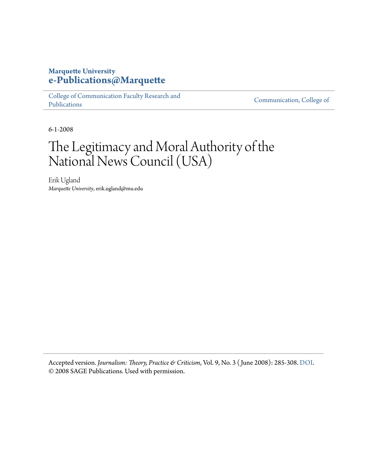## **Marquette University [e-Publications@Marquette](https://epublications.marquette.edu)**

[College of Communication Faculty Research and](https://epublications.marquette.edu/comm_fac) [Publications](https://epublications.marquette.edu/comm_fac)

[Communication, College of](https://epublications.marquette.edu/communication)

6-1-2008

# The Legitimacy and Moral Authority of the National News Council (USA)

Erik Ugland *Marquette University*, erik.ugland@mu.edu

Accepted version. *Journalism: Theory, Practice & Criticism*, Vol. 9, No. 3 ( June 2008): 285-308. [DOI.](http://dx.doi.org/10.1177/1464884907089009) © 2008 SAGE Publications. Used with permission.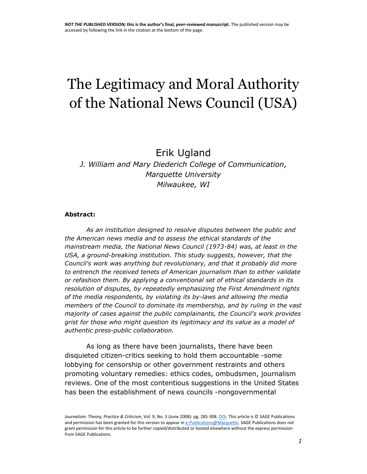# The Legitimacy and Moral Authority of the National News Council (USA)

Erik Ugland

*J. William and Mary Diederich College of Communication, Marquette University Milwaukee, WI*

#### **Abstract:**

*As an institution designed to resolve disputes between the public and the American news media and to assess the ethical standards of the mainstream media, the National News Council (1973-84) was, at least in the*  USA, a ground-breaking institution. This study suggests, however, that the *Council's work was anything but revolutionary, and that it probably did more to entrench the received tenets of American journalism than to either validate or refashion them. By applying a conventional set of ethical standards in its resolution of disputes, by repeatedly emphasizing the First Amendment rights of the media respondents, by violating its by-laws and allowing the media members of the Council to dominate its membership, and by ruling in the vast majority of cases against the public complainants, the Council's work provides grist for those who might question its legitimacy and its value as a model of authentic press-public collaboration.*

As long as there have been journalists, there have been disquieted citizen-critics seeking to hold them accountable -some lobbying for censorship or other government restraints and others promoting voluntary remedies: ethics codes, ombudsmen, journalism reviews. One of the most contentious suggestions in the United States has been the establishment of news councils -nongovernmental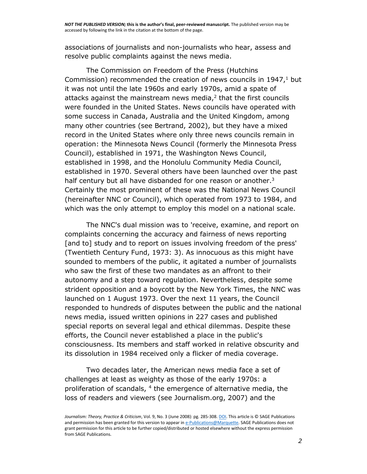associations of journalists and non-journalists who hear, assess and resolve public complaints against the news media.

The Commission on Freedom of the Press (Hutchins Commission) recommended the creation of news councils in  $1947<sup>1</sup>$  but it was not until the late 1960s and early 1970s, amid a spate of attacks against the mainstream news media, $2$  that the first councils were founded in the United States. News councils have operated with some success in Canada, Australia and the United Kingdom, among many other countries (see Bertrand, 2002), but they have a mixed record in the United States where only three news councils remain in operation: the Minnesota News Council (formerly the Minnesota Press Council), established in 1971, the Washington News Council, established in 1998, and the Honolulu Community Media Council, established in 1970. Several others have been launched over the past half century but all have disbanded for one reason or another.<sup>3</sup> Certainly the most prominent of these was the National News Council (hereinafter NNC or Council), which operated from 1973 to 1984, and which was the only attempt to employ this model on a national scale.

The NNC's dual mission was to 'receive, examine, and report on complaints concerning the accuracy and fairness of news reporting [and to] study and to report on issues involving freedom of the press' (Twentieth Century Fund, 1973: 3). As innocuous as this might have sounded to members of the public, it agitated a number of journalists who saw the first of these two mandates as an affront to their autonomy and a step toward regulation. Nevertheless, despite some strident opposition and a boycott by the New York Times, the NNC was launched on 1 August 1973. Over the next 11 years, the Council responded to hundreds of disputes between the public and the national news media, issued written opinions in 227 cases and published special reports on several legal and ethical dilemmas. Despite these efforts, the Council never established a place in the public's consciousness. Its members and staff worked in relative obscurity and its dissolution in 1984 received only a flicker of media coverage.

Two decades later, the American news media face a set of challenges at least as weighty as those of the early 1970s: a proliferation of scandals, <sup>4</sup> the emergence of alternative media, the loss of readers and viewers (see Journalism.org, 2007) and the

*Journalism: Theory, Practice & Criticism*, Vol. 9, No. 3 (June 2008): pg. 285-308[. DOI.](dx.doi.org/10.1177/1464884907089009) This article is © SAGE Publications and permission has been granted for this version to appear i[n e-Publications@Marquette.](http://epublications.marquette.edu/) SAGE Publications does not grant permission for this article to be further copied/distributed or hosted elsewhere without the express permission from SAGE Publications.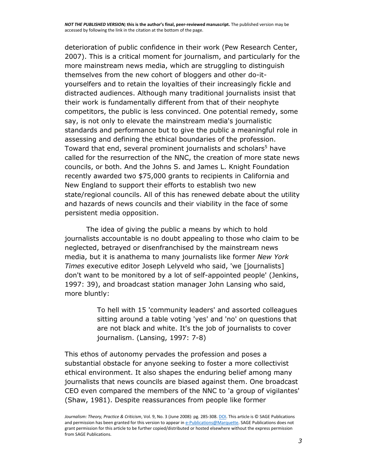deterioration of public confidence in their work (Pew Research Center, 2007). This is a critical moment for journalism, and particularly for the more mainstream news media, which are struggling to distinguish themselves from the new cohort of bloggers and other do-ityourselfers and to retain the loyalties of their increasingly fickle and distracted audiences. Although many traditional journalists insist that their work is fundamentally different from that of their neophyte competitors, the public is less convinced. One potential remedy, some say, is not only to elevate the mainstream media's journalistic standards and performance but to give the public a meaningful role in assessing and defining the ethical boundaries of the profession. Toward that end, several prominent journalists and scholars<sup>5</sup> have called for the resurrection of the NNC, the creation of more state news councils, or both. And the Johns S. and James L. Knight Foundation recently awarded two \$75,000 grants to recipients in California and New England to support their efforts to establish two new state/regional councils. All of this has renewed debate about the utility and hazards of news councils and their viability in the face of some persistent media opposition.

The idea of giving the public a means by which to hold journalists accountable is no doubt appealing to those who claim to be neglected, betrayed or disenfranchised by the mainstream news media, but it is anathema to many journalists like former *New York Times* executive editor Joseph Lelyveld who said, 'we [journalists] don't want to be monitored by a lot of self-appointed people' (Jenkins, 1997: 39), and broadcast station manager John Lansing who said, more bluntly:

> To hell with 15 'community leaders' and assorted colleagues sitting around a table voting 'yes' and 'no' on questions that are not black and white. It's the job of journalists to cover journalism. (Lansing, 1997: 7-8)

This ethos of autonomy pervades the profession and poses a substantial obstacle for anyone seeking to foster a more collectivist ethical environment. It also shapes the enduring belief among many journalists that news councils are biased against them. One broadcast CEO even compared the members of the NNC to 'a group of vigilantes' (Shaw, 1981). Despite reassurances from people like former

*Journalism: Theory, Practice & Criticism*, Vol. 9, No. 3 (June 2008): pg. 285-308[. DOI.](dx.doi.org/10.1177/1464884907089009) This article is © SAGE Publications and permission has been granted for this version to appear i[n e-Publications@Marquette.](http://epublications.marquette.edu/) SAGE Publications does not grant permission for this article to be further copied/distributed or hosted elsewhere without the express permission from SAGE Publications.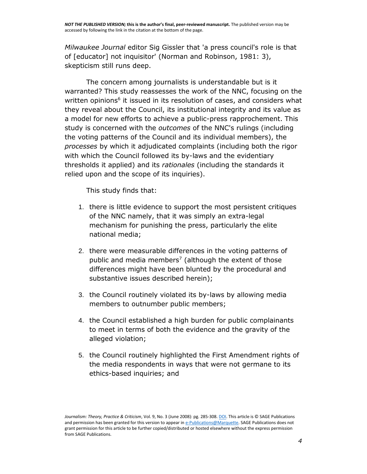*Milwaukee Journal* editor Sig Gissler that 'a press council's role is that of [educator] not inquisitor' (Norman and Robinson, 1981: 3), skepticism still runs deep.

The concern among journalists is understandable but is it warranted? This study reassesses the work of the NNC, focusing on the written opinions<sup>6</sup> it issued in its resolution of cases, and considers what they reveal about the Council, its institutional integrity and its value as a model for new efforts to achieve a public-press rapprochement. This study is concerned with the *outcomes* of the NNC's rulings (including the voting patterns of the Council and its individual members), the *processes* by which it adjudicated complaints (including both the rigor with which the Council followed its by-laws and the evidentiary thresholds it applied) and its *rationales* (including the standards it relied upon and the scope of its inquiries).

This study finds that:

- 1. there is little evidence to support the most persistent critiques of the NNC namely, that it was simply an extra-legal mechanism for punishing the press, particularly the elite national media;
- 2. there were measurable differences in the voting patterns of public and media members<sup>7</sup> (although the extent of those differences might have been blunted by the procedural and substantive issues described herein);
- 3. the Council routinely violated its by-laws by allowing media members to outnumber public members;
- 4. the Council established a high burden for public complainants to meet in terms of both the evidence and the gravity of the alleged violation;
- 5. the Council routinely highlighted the First Amendment rights of the media respondents in ways that were not germane to its ethics-based inquiries; and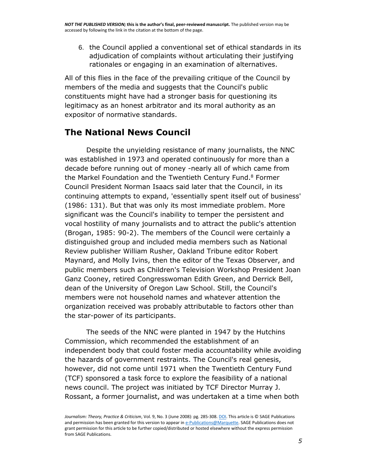6. the Council applied a conventional set of ethical standards in its adjudication of complaints without articulating their justifying rationales or engaging in an examination of alternatives.

All of this flies in the face of the prevailing critique of the Council by members of the media and suggests that the Council's public constituents might have had a stronger basis for questioning its legitimacy as an honest arbitrator and its moral authority as an expositor of normative standards.

# **The National News Council**

Despite the unyielding resistance of many journalists, the NNC was established in 1973 and operated continuously for more than a decade before running out of money -nearly all of which came from the Markel Foundation and the Twentieth Century Fund.<sup>8</sup> Former Council President Norman Isaacs said later that the Council, in its continuing attempts to expand, 'essentially spent itself out of business' (1986: 131). But that was only its most immediate problem. More significant was the Council's inability to temper the persistent and vocal hostility of many journalists and to attract the public's attention (Brogan, 1985: 90-2). The members of the Council were certainly a distinguished group and included media members such as National Review publisher William Rusher, Oakland Tribune editor Robert Maynard, and Molly Ivins, then the editor of the Texas Observer, and public members such as Children's Television Workshop President Joan Ganz Cooney, retired Congresswoman Edith Green, and Derrick Bell, dean of the University of Oregon Law School. Still, the Council's members were not household names and whatever attention the organization received was probably attributable to factors other than the star-power of its participants.

The seeds of the NNC were planted in 1947 by the Hutchins Commission, which recommended the establishment of an independent body that could foster media accountability while avoiding the hazards of government restraints. The Council's real genesis, however, did not come until 1971 when the Twentieth Century Fund (TCF) sponsored a task force to explore the feasibility of a national news council. The project was initiated by TCF Director Murray J. Rossant, a former journalist, and was undertaken at a time when both

*Journalism: Theory, Practice & Criticism*, Vol. 9, No. 3 (June 2008): pg. 285-308[. DOI.](dx.doi.org/10.1177/1464884907089009) This article is © SAGE Publications and permission has been granted for this version to appear i[n e-Publications@Marquette.](http://epublications.marquette.edu/) SAGE Publications does not grant permission for this article to be further copied/distributed or hosted elsewhere without the express permission from SAGE Publications.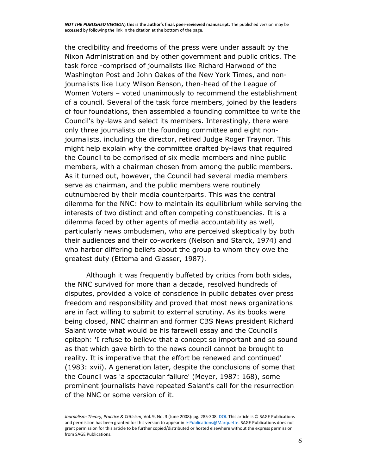the credibility and freedoms of the press were under assault by the Nixon Administration and by other government and public critics. The task force -comprised of journalists like Richard Harwood of the Washington Post and John Oakes of the New York Times, and nonjournalists like Lucy Wilson Benson, then-head of the League of Women Voters – voted unanimously to recommend the establishment of a council. Several of the task force members, joined by the leaders of four foundations, then assembled a founding committee to write the Council's by-laws and select its members. Interestingly, there were only three journalists on the founding committee and eight nonjournalists, including the director, retired Judge Roger Traynor. This might help explain why the committee drafted by-laws that required the Council to be comprised of six media members and nine public members, with a chairman chosen from among the public members. As it turned out, however, the Council had several media members serve as chairman, and the public members were routinely outnumbered by their media counterparts. This was the central dilemma for the NNC: how to maintain its equilibrium while serving the interests of two distinct and often competing constituencies. It is a dilemma faced by other agents of media accountability as well, particularly news ombudsmen, who are perceived skeptically by both their audiences and their co-workers (Nelson and Starck, 1974) and who harbor differing beliefs about the group to whom they owe the greatest duty (Ettema and Glasser, 1987).

Although it was frequently buffeted by critics from both sides, the NNC survived for more than a decade, resolved hundreds of disputes, provided a voice of conscience in public debates over press freedom and responsibility and proved that most news organizations are in fact willing to submit to external scrutiny. As its books were being closed, NNC chairman and former CBS News president Richard Salant wrote what would be his farewell essay and the Council's epitaph: 'I refuse to believe that a concept so important and so sound as that which gave birth to the news council cannot be brought to reality. It is imperative that the effort be renewed and continued' (1983: xvii). A generation later, despite the conclusions of some that the Council was 'a spectacular failure' (Meyer, 1987: 168), some prominent journalists have repeated Salant's call for the resurrection of the NNC or some version of it.

*Journalism: Theory, Practice & Criticism*, Vol. 9, No. 3 (June 2008): pg. 285-308[. DOI.](dx.doi.org/10.1177/1464884907089009) This article is © SAGE Publications and permission has been granted for this version to appear i[n e-Publications@Marquette.](http://epublications.marquette.edu/) SAGE Publications does not grant permission for this article to be further copied/distributed or hosted elsewhere without the express permission from SAGE Publications.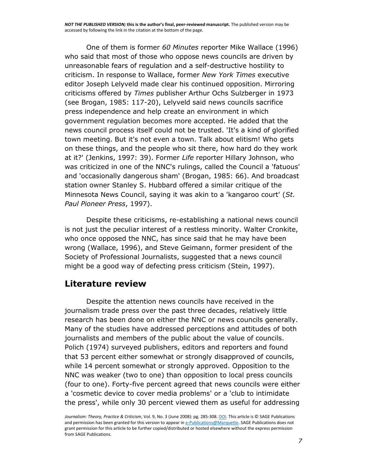One of them is former *60 Minutes* reporter Mike Wallace (1996) who said that most of those who oppose news councils are driven by unreasonable fears of regulation and a self-destructive hostility to criticism. In response to Wallace, former *New York Times* executive editor Joseph Lelyveld made clear his continued opposition. Mirroring criticisms offered by *Times* publisher Arthur Ochs Sulzberger in 1973 (see Brogan, 1985: 117-20), Lelyveld said news councils sacrifice press independence and help create an environment in which government regulation becomes more accepted. He added that the news council process itself could not be trusted. 'It's a kind of glorified town meeting. But it's not even a town. Talk about elitism! Who gets on these things, and the people who sit there, how hard do they work at it?' (Jenkins, 1997: 39). Former *Life* reporter Hillary Johnson, who was criticized in one of the NNC's rulings, called the Council a 'fatuous' and 'occasionally dangerous sham' (Brogan, 1985: 66). And broadcast station owner Stanley S. Hubbard offered a similar critique of the Minnesota News Council, saying it was akin to a 'kangaroo court' (*St. Paul Pioneer Press*, 1997).

Despite these criticisms, re-establishing a national news council is not just the peculiar interest of a restless minority. Walter Cronkite, who once opposed the NNC, has since said that he may have been wrong (Wallace, 1996), and Steve Geimann, former president of the Society of Professional Journalists, suggested that a news council might be a good way of defecting press criticism (Stein, 1997).

## **Literature review**

Despite the attention news councils have received in the journalism trade press over the past three decades, relatively little research has been done on either the NNC or news councils generally. Many of the studies have addressed perceptions and attitudes of both journalists and members of the public about the value of councils. Polich (1974) surveyed publishers, editors and reporters and found that 53 percent either somewhat or strongly disapproved of councils, while 14 percent somewhat or strongly approved. Opposition to the NNC was weaker (two to one) than opposition to local press councils (four to one). Forty-five percent agreed that news councils were either a 'cosmetic device to cover media problems' or a 'club to intimidate the press', while only 30 percent viewed them as useful for addressing

*Journalism: Theory, Practice & Criticism*, Vol. 9, No. 3 (June 2008): pg. 285-308[. DOI.](dx.doi.org/10.1177/1464884907089009) This article is © SAGE Publications and permission has been granted for this version to appear i[n e-Publications@Marquette.](http://epublications.marquette.edu/) SAGE Publications does not grant permission for this article to be further copied/distributed or hosted elsewhere without the express permission from SAGE Publications.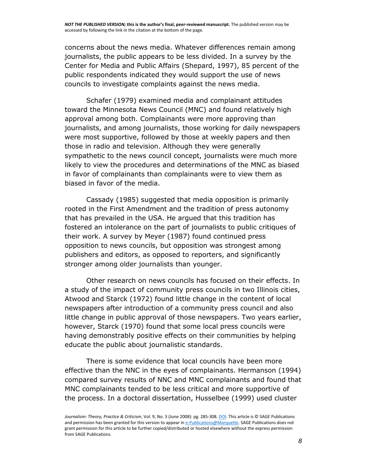concerns about the news media. Whatever differences remain among journalists, the public appears to be less divided. In a survey by the Center for Media and Public Affairs (Shepard, 1997), 85 percent of the public respondents indicated they would support the use of news councils to investigate complaints against the news media.

Schafer (1979) examined media and complainant attitudes toward the Minnesota News Council (MNC) and found relatively high approval among both. Complainants were more approving than journalists, and among journalists, those working for daily newspapers were most supportive, followed by those at weekly papers and then those in radio and television. Although they were generally sympathetic to the news council concept, journalists were much more likely to view the procedures and determinations of the MNC as biased in favor of complainants than complainants were to view them as biased in favor of the media.

Cassady (1985) suggested that media opposition is primarily rooted in the First Amendment and the tradition of press autonomy that has prevailed in the USA. He argued that this tradition has fostered an intolerance on the part of journalists to public critiques of their work. A survey by Meyer (1987) found continued press opposition to news councils, but opposition was strongest among publishers and editors, as opposed to reporters, and significantly stronger among older journalists than younger.

Other research on news councils has focused on their effects. In a study of the impact of community press councils in two Illinois cities, Atwood and Starck (1972) found little change in the content of local newspapers after introduction of a community press council and also little change in public approval of those newspapers. Two years earlier, however, Starck (1970) found that some local press councils were having demonstrably positive effects on their communities by helping educate the public about journalistic standards.

There is some evidence that local councils have been more effective than the NNC in the eyes of complainants. Hermanson (1994) compared survey results of NNC and MNC complainants and found that MNC complainants tended to be less critical and more supportive of the process. In a doctoral dissertation, Husselbee (1999) used cluster

*Journalism: Theory, Practice & Criticism*, Vol. 9, No. 3 (June 2008): pg. 285-308[. DOI.](dx.doi.org/10.1177/1464884907089009) This article is © SAGE Publications and permission has been granted for this version to appear i[n e-Publications@Marquette.](http://epublications.marquette.edu/) SAGE Publications does not grant permission for this article to be further copied/distributed or hosted elsewhere without the express permission from SAGE Publications.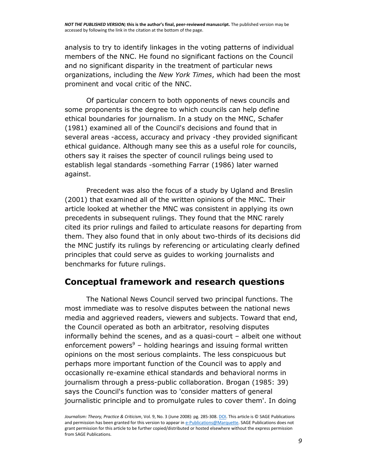analysis to try to identify linkages in the voting patterns of individual members of the NNC. He found no significant factions on the Council and no significant disparity in the treatment of particular news organizations, including the *New York Times*, which had been the most prominent and vocal critic of the NNC.

Of particular concern to both opponents of news councils and some proponents is the degree to which councils can help define ethical boundaries for journalism. In a study on the MNC, Schafer (1981) examined all of the Council's decisions and found that in several areas -access, accuracy and privacy -they provided significant ethical guidance. Although many see this as a useful role for councils, others say it raises the specter of council rulings being used to establish legal standards -something Farrar (1986) later warned against.

Precedent was also the focus of a study by Ugland and Breslin (2001) that examined all of the written opinions of the MNC. Their article looked at whether the MNC was consistent in applying its own precedents in subsequent rulings. They found that the MNC rarely cited its prior rulings and failed to articulate reasons for departing from them. They also found that in only about two-thirds of its decisions did the MNC justify its rulings by referencing or articulating clearly defined principles that could serve as guides to working journalists and benchmarks for future rulings.

## **Conceptual framework and research questions**

The National News Council served two principal functions. The most immediate was to resolve disputes between the national news media and aggrieved readers, viewers and subjects. Toward that end, the Council operated as both an arbitrator, resolving disputes informally behind the scenes, and as a quasi-court – albeit one without enforcement powers<sup>9</sup> – holding hearings and issuing formal written opinions on the most serious complaints. The less conspicuous but perhaps more important function of the Council was to apply and occasionally re-examine ethical standards and behavioral norms in journalism through a press-public collaboration. Brogan (1985: 39) says the Council's function was to 'consider matters of general journalistic principle and to promulgate rules to cover them'. In doing

*Journalism: Theory, Practice & Criticism*, Vol. 9, No. 3 (June 2008): pg. 285-308[. DOI.](dx.doi.org/10.1177/1464884907089009) This article is © SAGE Publications and permission has been granted for this version to appear i[n e-Publications@Marquette.](http://epublications.marquette.edu/) SAGE Publications does not grant permission for this article to be further copied/distributed or hosted elsewhere without the express permission from SAGE Publications.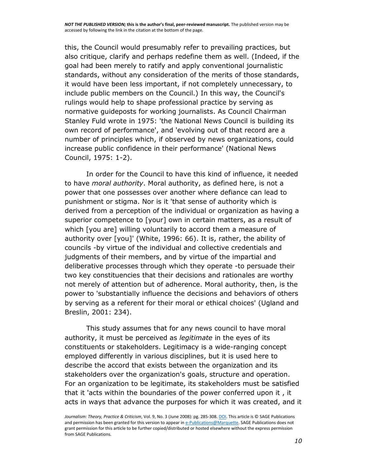this, the Council would presumably refer to prevailing practices, but also critique, clarify and perhaps redefine them as well. (Indeed, if the goal had been merely to ratify and apply conventional journalistic standards, without any consideration of the merits of those standards, it would have been less important, if not completely unnecessary, to include public members on the Council.) In this way, the Council's rulings would help to shape professional practice by serving as normative guideposts for working journalists. As Council Chairman Stanley Fuld wrote in 1975: 'the National News Council is building its own record of performance', and 'evolving out of that record are a number of principles which, if observed by news organizations, could increase public confidence in their performance' (National News Council, 1975: 1-2).

In order for the Council to have this kind of influence, it needed to have *moral authority*. Moral authority, as defined here, is not a power that one possesses over another where defiance can lead to punishment or stigma. Nor is it 'that sense of authority which is derived from a perception of the individual or organization as having a superior competence to [your] own in certain matters, as a result of which [you are] willing voluntarily to accord them a measure of authority over [you]' (White, 1996: 66). It is, rather, the ability of councils -by virtue of the individual and collective credentials and judgments of their members, and by virtue of the impartial and deliberative processes through which they operate -to persuade their two key constituencies that their decisions and rationales are worthy not merely of attention but of adherence. Moral authority, then, is the power to 'substantially influence the decisions and behaviors of others by serving as a referent for their moral or ethical choices' (Ugland and Breslin, 2001: 234).

This study assumes that for any news council to have moral authority, it must be perceived as *legitimate* in the eyes of its constituents or stakeholders. Legitimacy is a wide-ranging concept employed differently in various disciplines, but it is used here to describe the accord that exists between the organization and its stakeholders over the organization's goals, structure and operation. For an organization to be legitimate, its stakeholders must be satisfied that it 'acts within the boundaries of the power conferred upon it , it acts in ways that advance the purposes for which it was created, and it

*Journalism: Theory, Practice & Criticism*, Vol. 9, No. 3 (June 2008): pg. 285-308[. DOI.](dx.doi.org/10.1177/1464884907089009) This article is © SAGE Publications and permission has been granted for this version to appear i[n e-Publications@Marquette.](http://epublications.marquette.edu/) SAGE Publications does not grant permission for this article to be further copied/distributed or hosted elsewhere without the express permission from SAGE Publications.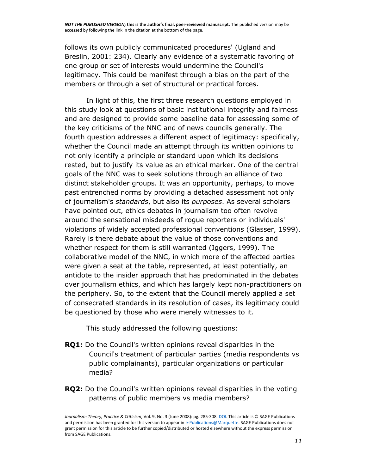follows its own publicly communicated procedures' (Ugland and Breslin, 2001: 234). Clearly any evidence of a systematic favoring of one group or set of interests would undermine the Council's legitimacy. This could be manifest through a bias on the part of the members or through a set of structural or practical forces.

In light of this, the first three research questions employed in this study look at questions of basic institutional integrity and fairness and are designed to provide some baseline data for assessing some of the key criticisms of the NNC and of news councils generally. The fourth question addresses a different aspect of legitimacy: specifically, whether the Council made an attempt through its written opinions to not only identify a principle or standard upon which its decisions rested, but to justify its value as an ethical marker. One of the central goals of the NNC was to seek solutions through an alliance of two distinct stakeholder groups. It was an opportunity, perhaps, to move past entrenched norms by providing a detached assessment not only of journalism's *standards*, but also its *purposes*. As several scholars have pointed out, ethics debates in journalism too often revolve around the sensational misdeeds of rogue reporters or individuals' violations of widely accepted professional conventions (Glasser, 1999). Rarely is there debate about the value of those conventions and whether respect for them is still warranted (Iggers, 1999). The collaborative model of the NNC, in which more of the affected parties were given a seat at the table, represented, at least potentially, an antidote to the insider approach that has predominated in the debates over journalism ethics, and which has largely kept non-practitioners on the periphery. So, to the extent that the Council merely applied a set of consecrated standards in its resolution of cases, its legitimacy could be questioned by those who were merely witnesses to it.

This study addressed the following questions:

- **RQ1:** Do the Council's written opinions reveal disparities in the Council's treatment of particular parties (media respondents vs public complainants), particular organizations or particular media?
- **RQ2:** Do the Council's written opinions reveal disparities in the voting patterns of public members vs media members?

*Journalism: Theory, Practice & Criticism*, Vol. 9, No. 3 (June 2008): pg. 285-308[. DOI.](dx.doi.org/10.1177/1464884907089009) This article is © SAGE Publications and permission has been granted for this version to appear i[n e-Publications@Marquette.](http://epublications.marquette.edu/) SAGE Publications does not grant permission for this article to be further copied/distributed or hosted elsewhere without the express permission from SAGE Publications.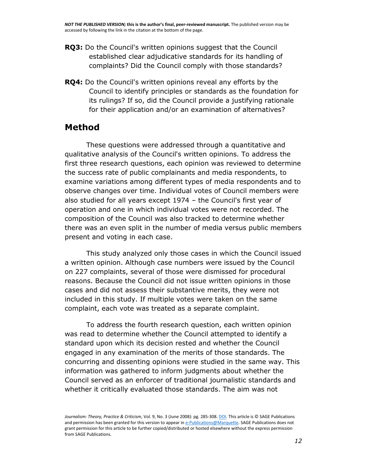- **RQ3:** Do the Council's written opinions suggest that the Council established clear adjudicative standards for its handling of complaints? Did the Council comply with those standards?
- **RQ4:** Do the Council's written opinions reveal any efforts by the Council to identify principles or standards as the foundation for its rulings? If so, did the Council provide a justifying rationale for their application and/or an examination of alternatives?

## **Method**

These questions were addressed through a quantitative and qualitative analysis of the Council's written opinions. To address the first three research questions, each opinion was reviewed to determine the success rate of public complainants and media respondents, to examine variations among different types of media respondents and to observe changes over time. Individual votes of Council members were also studied for all years except 1974 – the Council's first year of operation and one in which individual votes were not recorded. The composition of the Council was also tracked to determine whether there was an even split in the number of media versus public members present and voting in each case.

This study analyzed only those cases in which the Council issued a written opinion. Although case numbers were issued by the Council on 227 complaints, several of those were dismissed for procedural reasons. Because the Council did not issue written opinions in those cases and did not assess their substantive merits, they were not included in this study. If multiple votes were taken on the same complaint, each vote was treated as a separate complaint.

To address the fourth research question, each written opinion was read to determine whether the Council attempted to identify a standard upon which its decision rested and whether the Council engaged in any examination of the merits of those standards. The concurring and dissenting opinions were studied in the same way. This information was gathered to inform judgments about whether the Council served as an enforcer of traditional journalistic standards and whether it critically evaluated those standards. The aim was not

*Journalism: Theory, Practice & Criticism*, Vol. 9, No. 3 (June 2008): pg. 285-308[. DOI.](dx.doi.org/10.1177/1464884907089009) This article is © SAGE Publications and permission has been granted for this version to appear i[n e-Publications@Marquette.](http://epublications.marquette.edu/) SAGE Publications does not grant permission for this article to be further copied/distributed or hosted elsewhere without the express permission from SAGE Publications.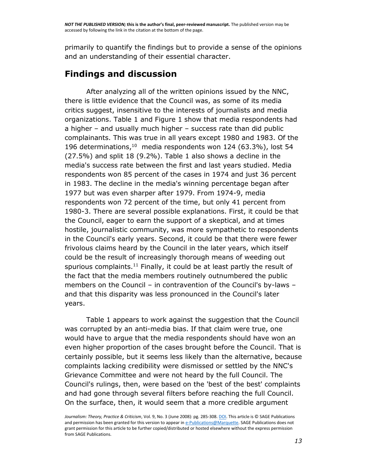primarily to quantify the findings but to provide a sense of the opinions and an understanding of their essential character.

# **Findings and discussion**

After analyzing all of the written opinions issued by the NNC, there is little evidence that the Council was, as some of its media critics suggest, insensitive to the interests of journalists and media organizations. Table 1 and Figure 1 show that media respondents had a higher – and usually much higher – success rate than did public complainants. This was true in all years except 1980 and 1983. Of the 196 determinations,<sup>10</sup> media respondents won 124 (63.3%), lost 54 (27.5%) and split 18 (9.2%). Table 1 also shows a decline in the media's success rate between the first and last years studied. Media respondents won 85 percent of the cases in 1974 and just 36 percent in 1983. The decline in the media's winning percentage began after 1977 but was even sharper after 1979. From 1974-9, media respondents won 72 percent of the time, but only 41 percent from 1980-3. There are several possible explanations. First, it could be that the Council, eager to earn the support of a skeptical, and at times hostile, journalistic community, was more sympathetic to respondents in the Council's early years. Second, it could be that there were fewer frivolous claims heard by the Council in the later years, which itself could be the result of increasingly thorough means of weeding out spurious complaints.<sup>11</sup> Finally, it could be at least partly the result of the fact that the media members routinely outnumbered the public members on the Council – in contravention of the Council's by-laws – and that this disparity was less pronounced in the Council's later years.

Table 1 appears to work against the suggestion that the Council was corrupted by an anti-media bias. If that claim were true, one would have to argue that the media respondents should have won an even higher proportion of the cases brought before the Council. That is certainly possible, but it seems less likely than the alternative, because complaints lacking credibility were dismissed or settled by the NNC's Grievance Committee and were not heard by the full Council. The Council's rulings, then, were based on the 'best of the best' complaints and had gone through several filters before reaching the full Council. On the surface, then, it would seem that a more credible argument

*Journalism: Theory, Practice & Criticism*, Vol. 9, No. 3 (June 2008): pg. 285-308[. DOI.](dx.doi.org/10.1177/1464884907089009) This article is © SAGE Publications and permission has been granted for this version to appear i[n e-Publications@Marquette.](http://epublications.marquette.edu/) SAGE Publications does not grant permission for this article to be further copied/distributed or hosted elsewhere without the express permission from SAGE Publications.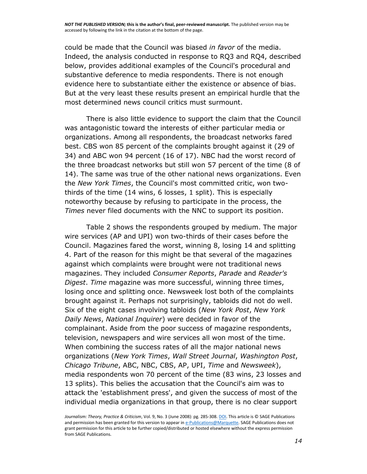could be made that the Council was biased *in favor* of the media. Indeed, the analysis conducted in response to RQ3 and RQ4, described below, provides additional examples of the Council's procedural and substantive deference to media respondents. There is not enough evidence here to substantiate either the existence or absence of bias. But at the very least these results present an empirical hurdle that the most determined news council critics must surmount.

There is also little evidence to support the claim that the Council was antagonistic toward the interests of either particular media or organizations. Among all respondents, the broadcast networks fared best. CBS won 85 percent of the complaints brought against it (29 of 34) and ABC won 94 percent (16 of 17). NBC had the worst record of the three broadcast networks but still won 57 percent of the time (8 of 14). The same was true of the other national news organizations. Even the *New York Times*, the Council's most committed critic, won twothirds of the time (14 wins, 6 losses, 1 split). This is especially noteworthy because by refusing to participate in the process, the *Times* never filed documents with the NNC to support its position.

Table 2 shows the respondents grouped by medium. The major wire services (AP and UPI) won two-thirds of their cases before the Council. Magazines fared the worst, winning 8, losing 14 and splitting 4. Part of the reason for this might be that several of the magazines against which complaints were brought were not traditional news magazines. They included *Consumer Reports*, *Parade* and *Reader's Digest*. *Time* magazine was more successful, winning three times, losing once and splitting once. Newsweek lost both of the complaints brought against it. Perhaps not surprisingly, tabloids did not do well. Six of the eight cases involving tabloids (*New York Post*, *New York Daily News*, *National Inquirer*) were decided in favor of the complainant. Aside from the poor success of magazine respondents, television, newspapers and wire services all won most of the time. When combining the success rates of all the major national news organizations (*New York Times*, *Wall Street Journal*, *Washington Post*, *Chicago Tribune*, ABC, NBC, CBS, AP, UPI, *Time* and *Newsweek*), media respondents won 70 percent of the time (83 wins, 23 losses and 13 splits). This belies the accusation that the Council's aim was to attack the 'establishment press', and given the success of most of the individual media organizations in that group, there is no clear support

*Journalism: Theory, Practice & Criticism*, Vol. 9, No. 3 (June 2008): pg. 285-308[. DOI.](dx.doi.org/10.1177/1464884907089009) This article is © SAGE Publications and permission has been granted for this version to appear i[n e-Publications@Marquette.](http://epublications.marquette.edu/) SAGE Publications does not grant permission for this article to be further copied/distributed or hosted elsewhere without the express permission from SAGE Publications.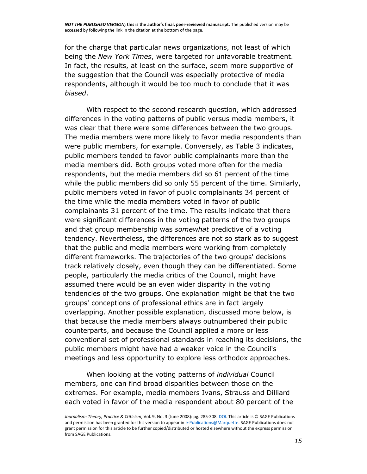for the charge that particular news organizations, not least of which being the *New York Times*, were targeted for unfavorable treatment. In fact, the results, at least on the surface, seem more supportive of the suggestion that the Council was especially protective of media respondents, although it would be too much to conclude that it was *biased*.

With respect to the second research question, which addressed differences in the voting patterns of public versus media members, it was clear that there were some differences between the two groups. The media members were more likely to favor media respondents than were public members, for example. Conversely, as Table 3 indicates, public members tended to favor public complainants more than the media members did. Both groups voted more often for the media respondents, but the media members did so 61 percent of the time while the public members did so only 55 percent of the time. Similarly, public members voted in favor of public complainants 34 percent of the time while the media members voted in favor of public complainants 31 percent of the time. The results indicate that there were significant differences in the voting patterns of the two groups and that group membership was *somewhat* predictive of a voting tendency. Nevertheless, the differences are not so stark as to suggest that the public and media members were working from completely different frameworks. The trajectories of the two groups' decisions track relatively closely, even though they can be differentiated. Some people, particularly the media critics of the Council, might have assumed there would be an even wider disparity in the voting tendencies of the two groups. One explanation might be that the two groups' conceptions of professional ethics are in fact largely overlapping. Another possible explanation, discussed more below, is that because the media members always outnumbered their public counterparts, and because the Council applied a more or less conventional set of professional standards in reaching its decisions, the public members might have had a weaker voice in the Council's meetings and less opportunity to explore less orthodox approaches.

When looking at the voting patterns of *individual* Council members, one can find broad disparities between those on the extremes. For example, media members Ivans, Strauss and Dilliard each voted in favor of the media respondent about 80 percent of the

*Journalism: Theory, Practice & Criticism*, Vol. 9, No. 3 (June 2008): pg. 285-308[. DOI.](dx.doi.org/10.1177/1464884907089009) This article is © SAGE Publications and permission has been granted for this version to appear i[n e-Publications@Marquette.](http://epublications.marquette.edu/) SAGE Publications does not grant permission for this article to be further copied/distributed or hosted elsewhere without the express permission from SAGE Publications.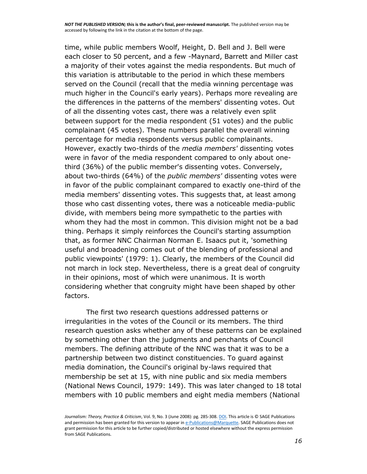time, while public members Woolf, Height, D. Bell and J. Bell were each closer to 50 percent, and a few -Maynard, Barrett and Miller cast a majority of their votes against the media respondents. But much of this variation is attributable to the period in which these members served on the Council (recall that the media winning percentage was much higher in the Council's early years). Perhaps more revealing are the differences in the patterns of the members' dissenting votes. Out of all the dissenting votes cast, there was a relatively even split between support for the media respondent (51 votes) and the public complainant (45 votes). These numbers parallel the overall winning percentage for media respondents versus public complainants. However, exactly two-thirds of the *media members'* dissenting votes were in favor of the media respondent compared to only about onethird (36%) of the public member's dissenting votes. Conversely, about two-thirds (64%) of the *public members'* dissenting votes were in favor of the public complainant compared to exactly one-third of the media members' dissenting votes. This suggests that, at least among those who cast dissenting votes, there was a noticeable media-public divide, with members being more sympathetic to the parties with whom they had the most in common. This division might not be a bad thing. Perhaps it simply reinforces the Council's starting assumption that, as former NNC Chairman Norman E. Isaacs put it, 'something useful and broadening comes out of the blending of professional and public viewpoints' (1979: 1). Clearly, the members of the Council did not march in lock step. Nevertheless, there is a great deal of congruity in their opinions, most of which were unanimous. It is worth considering whether that congruity might have been shaped by other factors.

The first two research questions addressed patterns or irregularities in the votes of the Council or its members. The third research question asks whether any of these patterns can be explained by something other than the judgments and penchants of Council members. The defining attribute of the NNC was that it was to be a partnership between two distinct constituencies. To guard against media domination, the Council's original by-laws required that membership be set at 15, with nine public and six media members (National News Council, 1979: 149). This was later changed to 18 total members with 10 public members and eight media members (National

*Journalism: Theory, Practice & Criticism*, Vol. 9, No. 3 (June 2008): pg. 285-308[. DOI.](dx.doi.org/10.1177/1464884907089009) This article is © SAGE Publications and permission has been granted for this version to appear i[n e-Publications@Marquette.](http://epublications.marquette.edu/) SAGE Publications does not grant permission for this article to be further copied/distributed or hosted elsewhere without the express permission from SAGE Publications.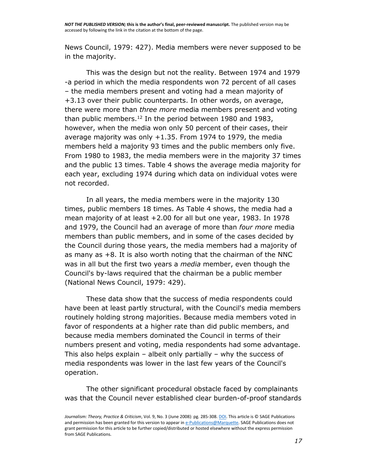News Council, 1979: 427). Media members were never supposed to be in the majority.

This was the design but not the reality. Between 1974 and 1979 -a period in which the media respondents won 72 percent of all cases – the media members present and voting had a mean majority of +3.13 over their public counterparts. In other words, on average, there were more than *three more* media members present and voting than public members.<sup>12</sup> In the period between 1980 and 1983, however, when the media won only 50 percent of their cases, their average majority was only +1.35. From 1974 to 1979, the media members held a majority 93 times and the public members only five. From 1980 to 1983, the media members were in the majority 37 times and the public 13 times. Table 4 shows the average media majority for each year, excluding 1974 during which data on individual votes were not recorded.

In all years, the media members were in the majority 130 times, public members 18 times. As Table 4 shows, the media had a mean majority of at least +2.00 for all but one year, 1983. In 1978 and 1979, the Council had an average of more than *four more* media members than public members, and in some of the cases decided by the Council during those years, the media members had a majority of as many as +8. It is also worth noting that the chairman of the NNC was in all but the first two years a *media* member, even though the Council's by-laws required that the chairman be a public member (National News Council, 1979: 429).

These data show that the success of media respondents could have been at least partly structural, with the Council's media members routinely holding strong majorities. Because media members voted in favor of respondents at a higher rate than did public members, and because media members dominated the Council in terms of their numbers present and voting, media respondents had some advantage. This also helps explain – albeit only partially – why the success of media respondents was lower in the last few years of the Council's operation.

The other significant procedural obstacle faced by complainants was that the Council never established clear burden-of-proof standards

*Journalism: Theory, Practice & Criticism*, Vol. 9, No. 3 (June 2008): pg. 285-308[. DOI.](dx.doi.org/10.1177/1464884907089009) This article is © SAGE Publications and permission has been granted for this version to appear i[n e-Publications@Marquette.](http://epublications.marquette.edu/) SAGE Publications does not grant permission for this article to be further copied/distributed or hosted elsewhere without the express permission from SAGE Publications.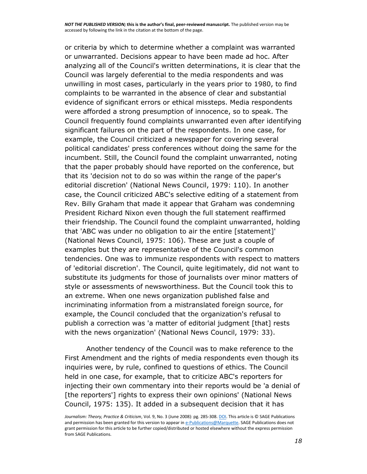or criteria by which to determine whether a complaint was warranted or unwarranted. Decisions appear to have been made ad hoc. After analyzing all of the Council's written determinations, it is clear that the Council was largely deferential to the media respondents and was unwilling in most cases, particularly in the years prior to 1980, to find complaints to be warranted in the absence of clear and substantial evidence of significant errors or ethical missteps. Media respondents were afforded a strong presumption of innocence, so to speak. The Council frequently found complaints unwarranted even after identifying significant failures on the part of the respondents. In one case, for example, the Council criticized a newspaper for covering several political candidates' press conferences without doing the same for the incumbent. Still, the Council found the complaint unwarranted, noting that the paper probably should have reported on the conference, but that its 'decision not to do so was within the range of the paper's editorial discretion' (National News Council, 1979: 110). In another case, the Council criticized ABC's selective editing of a statement from Rev. Billy Graham that made it appear that Graham was condemning President Richard Nixon even though the full statement reaffirmed their friendship. The Council found the complaint unwarranted, holding that 'ABC was under no obligation to air the entire [statement]' (National News Council, 1975: 106). These are just a couple of examples but they are representative of the Council's common tendencies. One was to immunize respondents with respect to matters of 'editorial discretion'. The Council, quite legitimately, did not want to substitute its judgments for those of journalists over minor matters of style or assessments of newsworthiness. But the Council took this to an extreme. When one news organization published false and incriminating information from a mistranslated foreign source, for example, the Council concluded that the organization's refusal to publish a correction was 'a matter of editorial judgment [that] rests with the news organization' (National News Council, 1979: 33).

Another tendency of the Council was to make reference to the First Amendment and the rights of media respondents even though its inquiries were, by rule, confined to questions of ethics. The Council held in one case, for example, that to criticize ABC's reporters for injecting their own commentary into their reports would be 'a denial of [the reporters'] rights to express their own opinions' (National News Council, 1975: 135). It added in a subsequent decision that it has

*Journalism: Theory, Practice & Criticism*, Vol. 9, No. 3 (June 2008): pg. 285-308[. DOI.](dx.doi.org/10.1177/1464884907089009) This article is © SAGE Publications and permission has been granted for this version to appear i[n e-Publications@Marquette.](http://epublications.marquette.edu/) SAGE Publications does not grant permission for this article to be further copied/distributed or hosted elsewhere without the express permission from SAGE Publications.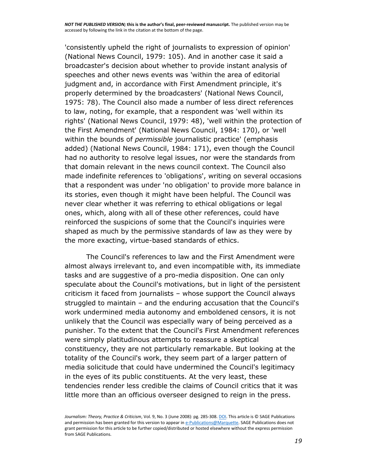'consistently upheld the right of journalists to expression of opinion' (National News Council, 1979: 105). And in another case it said a broadcaster's decision about whether to provide instant analysis of speeches and other news events was 'within the area of editorial judgment and, in accordance with First Amendment principle, it's properly determined by the broadcasters' (National News Council, 1975: 78). The Council also made a number of less direct references to law, noting, for example, that a respondent was 'well within its rights' (National News Council, 1979: 48), 'well within the protection of the First Amendment' (National News Council, 1984: 170), or 'well within the bounds of *permissible* journalistic practice' (emphasis added) (National News Council, 1984: 171), even though the Council had no authority to resolve legal issues, nor were the standards from that domain relevant in the news council context. The Council also made indefinite references to 'obligations', writing on several occasions that a respondent was under 'no obligation' to provide more balance in its stories, even though it might have been helpful. The Council was never clear whether it was referring to ethical obligations or legal ones, which, along with all of these other references, could have reinforced the suspicions of some that the Council's inquiries were shaped as much by the permissive standards of law as they were by the more exacting, virtue-based standards of ethics.

The Council's references to law and the First Amendment were almost always irrelevant to, and even incompatible with, its immediate tasks and are suggestive of a pro-media disposition. One can only speculate about the Council's motivations, but in light of the persistent criticism it faced from journalists – whose support the Council always struggled to maintain – and the enduring accusation that the Council's work undermined media autonomy and emboldened censors, it is not unlikely that the Council was especially wary of being perceived as a punisher. To the extent that the Council's First Amendment references were simply platitudinous attempts to reassure a skeptical constituency, they are not particularly remarkable. But looking at the totality of the Council's work, they seem part of a larger pattern of media solicitude that could have undermined the Council's legitimacy in the eyes of its public constituents. At the very least, these tendencies render less credible the claims of Council critics that it was little more than an officious overseer designed to reign in the press.

*Journalism: Theory, Practice & Criticism*, Vol. 9, No. 3 (June 2008): pg. 285-308[. DOI.](dx.doi.org/10.1177/1464884907089009) This article is © SAGE Publications and permission has been granted for this version to appear i[n e-Publications@Marquette.](http://epublications.marquette.edu/) SAGE Publications does not grant permission for this article to be further copied/distributed or hosted elsewhere without the express permission from SAGE Publications.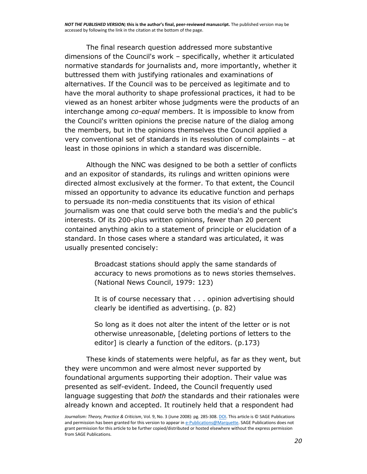The final research question addressed more substantive dimensions of the Council's work – specifically, whether it articulated normative standards for journalists and, more importantly, whether it buttressed them with justifying rationales and examinations of alternatives. If the Council was to be perceived as legitimate and to have the moral authority to shape professional practices, it had to be viewed as an honest arbiter whose judgments were the products of an interchange among *co-equal* members. It is impossible to know from the Council's written opinions the precise nature of the dialog among the members, but in the opinions themselves the Council applied a very conventional set of standards in its resolution of complaints – at least in those opinions in which a standard was discernible.

Although the NNC was designed to be both a settler of conflicts and an expositor of standards, its rulings and written opinions were directed almost exclusively at the former. To that extent, the Council missed an opportunity to advance its educative function and perhaps to persuade its non-media constituents that its vision of ethical journalism was one that could serve both the media's and the public's interests. Of its 200-plus written opinions, fewer than 20 percent contained anything akin to a statement of principle or elucidation of a standard. In those cases where a standard was articulated, it was usually presented concisely:

> Broadcast stations should apply the same standards of accuracy to news promotions as to news stories themselves. (National News Council, 1979: 123)

> It is of course necessary that . . . opinion advertising should clearly be identified as advertising. (p. 82)

So long as it does not alter the intent of the letter or is not otherwise unreasonable, [deleting portions of letters to the editor] is clearly a function of the editors. (p.173)

These kinds of statements were helpful, as far as they went, but they were uncommon and were almost never supported by foundational arguments supporting their adoption. Their value was presented as self-evident. Indeed, the Council frequently used language suggesting that *both* the standards and their rationales were already known and accepted. It routinely held that a respondent had

*Journalism: Theory, Practice & Criticism*, Vol. 9, No. 3 (June 2008): pg. 285-308[. DOI.](dx.doi.org/10.1177/1464884907089009) This article is © SAGE Publications and permission has been granted for this version to appear i[n e-Publications@Marquette.](http://epublications.marquette.edu/) SAGE Publications does not grant permission for this article to be further copied/distributed or hosted elsewhere without the express permission from SAGE Publications.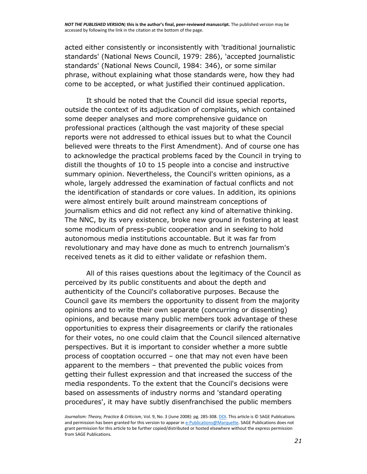acted either consistently or inconsistently with 'traditional journalistic standards' (National News Council, 1979: 286), 'accepted journalistic standards' (National News Council, 1984: 346), or some similar phrase, without explaining what those standards were, how they had come to be accepted, or what justified their continued application.

It should be noted that the Council did issue special reports, outside the context of its adjudication of complaints, which contained some deeper analyses and more comprehensive guidance on professional practices (although the vast majority of these special reports were not addressed to ethical issues but to what the Council believed were threats to the First Amendment). And of course one has to acknowledge the practical problems faced by the Council in trying to distill the thoughts of 10 to 15 people into a concise and instructive summary opinion. Nevertheless, the Council's written opinions, as a whole, largely addressed the examination of factual conflicts and not the identification of standards or core values. In addition, its opinions were almost entirely built around mainstream conceptions of journalism ethics and did not reflect any kind of alternative thinking. The NNC, by its very existence, broke new ground in fostering at least some modicum of press-public cooperation and in seeking to hold autonomous media institutions accountable. But it was far from revolutionary and may have done as much to entrench journalism's received tenets as it did to either validate or refashion them.

All of this raises questions about the legitimacy of the Council as perceived by its public constituents and about the depth and authenticity of the Council's collaborative purposes. Because the Council gave its members the opportunity to dissent from the majority opinions and to write their own separate (concurring or dissenting) opinions, and because many public members took advantage of these opportunities to express their disagreements or clarify the rationales for their votes, no one could claim that the Council silenced alternative perspectives. But it is important to consider whether a more subtle process of cooptation occurred – one that may not even have been apparent to the members – that prevented the public voices from getting their fullest expression and that increased the success of the media respondents. To the extent that the Council's decisions were based on assessments of industry norms and 'standard operating procedures', it may have subtly disenfranchised the public members

*Journalism: Theory, Practice & Criticism*, Vol. 9, No. 3 (June 2008): pg. 285-308[. DOI.](dx.doi.org/10.1177/1464884907089009) This article is © SAGE Publications and permission has been granted for this version to appear i[n e-Publications@Marquette.](http://epublications.marquette.edu/) SAGE Publications does not grant permission for this article to be further copied/distributed or hosted elsewhere without the express permission from SAGE Publications.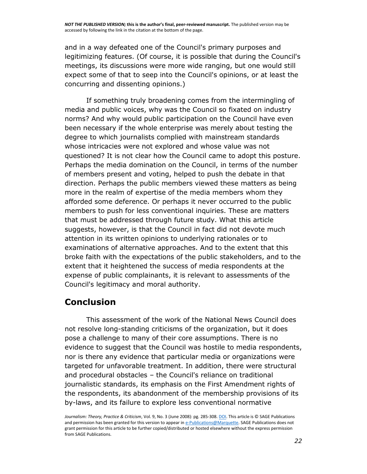and in a way defeated one of the Council's primary purposes and legitimizing features. (Of course, it is possible that during the Council's meetings, its discussions were more wide ranging, but one would still expect some of that to seep into the Council's opinions, or at least the concurring and dissenting opinions.)

If something truly broadening comes from the intermingling of media and public voices, why was the Council so fixated on industry norms? And why would public participation on the Council have even been necessary if the whole enterprise was merely about testing the degree to which journalists complied with mainstream standards whose intricacies were not explored and whose value was not questioned? It is not clear how the Council came to adopt this posture. Perhaps the media domination on the Council, in terms of the number of members present and voting, helped to push the debate in that direction. Perhaps the public members viewed these matters as being more in the realm of expertise of the media members whom they afforded some deference. Or perhaps it never occurred to the public members to push for less conventional inquiries. These are matters that must be addressed through future study. What this article suggests, however, is that the Council in fact did not devote much attention in its written opinions to underlying rationales or to examinations of alternative approaches. And to the extent that this broke faith with the expectations of the public stakeholders, and to the extent that it heightened the success of media respondents at the expense of public complainants, it is relevant to assessments of the Council's legitimacy and moral authority.

## **Conclusion**

This assessment of the work of the National News Council does not resolve long-standing criticisms of the organization, but it does pose a challenge to many of their core assumptions. There is no evidence to suggest that the Council was hostile to media respondents, nor is there any evidence that particular media or organizations were targeted for unfavorable treatment. In addition, there were structural and procedural obstacles – the Council's reliance on traditional journalistic standards, its emphasis on the First Amendment rights of the respondents, its abandonment of the membership provisions of its by-laws, and its failure to explore less conventional normative

*Journalism: Theory, Practice & Criticism*, Vol. 9, No. 3 (June 2008): pg. 285-308[. DOI.](dx.doi.org/10.1177/1464884907089009) This article is © SAGE Publications and permission has been granted for this version to appear i[n e-Publications@Marquette.](http://epublications.marquette.edu/) SAGE Publications does not grant permission for this article to be further copied/distributed or hosted elsewhere without the express permission from SAGE Publications.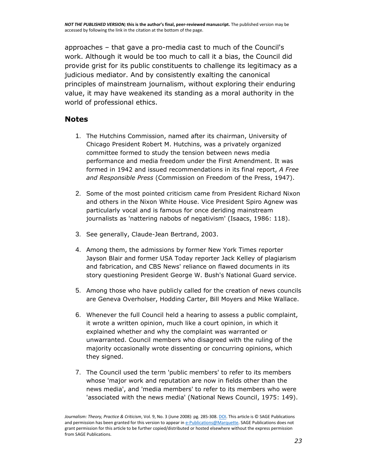approaches – that gave a pro-media cast to much of the Council's work. Although it would be too much to call it a bias, the Council did provide grist for its public constituents to challenge its legitimacy as a judicious mediator. And by consistently exalting the canonical principles of mainstream journalism, without exploring their enduring value, it may have weakened its standing as a moral authority in the world of professional ethics.

### **Notes**

- 1. The Hutchins Commission, named after its chairman, University of Chicago President Robert M. Hutchins, was a privately organized committee formed to study the tension between news media performance and media freedom under the First Amendment. It was formed in 1942 and issued recommendations in its final report, *A Free and Responsible Press* (Commission on Freedom of the Press, 1947).
- 2. Some of the most pointed criticism came from President Richard Nixon and others in the Nixon White House. Vice President Spiro Agnew was particularly vocal and is famous for once deriding mainstream journalists as 'nattering nabobs of negativism' (Isaacs, 1986: 118).
- 3. See generally, Claude-Jean Bertrand, 2003.
- 4. Among them, the admissions by former New York Times reporter Jayson Blair and former USA Today reporter Jack Kelley of plagiarism and fabrication, and CBS News' reliance on flawed documents in its story questioning President George W. Bush's National Guard service.
- 5. Among those who have publicly called for the creation of news councils are Geneva Overholser, Hodding Carter, Bill Moyers and Mike Wallace.
- 6. Whenever the full Council held a hearing to assess a public complaint, it wrote a written opinion, much like a court opinion, in which it explained whether and why the complaint was warranted or unwarranted. Council members who disagreed with the ruling of the majority occasionally wrote dissenting or concurring opinions, which they signed.
- 7. The Council used the term 'public members' to refer to its members whose 'major work and reputation are now in fields other than the news media', and 'media members' to refer to its members who were 'associated with the news media' (National News Council, 1975: 149).

*Journalism: Theory, Practice & Criticism*, Vol. 9, No. 3 (June 2008): pg. 285-308[. DOI.](dx.doi.org/10.1177/1464884907089009) This article is © SAGE Publications and permission has been granted for this version to appear i[n e-Publications@Marquette.](http://epublications.marquette.edu/) SAGE Publications does not grant permission for this article to be further copied/distributed or hosted elsewhere without the express permission from SAGE Publications.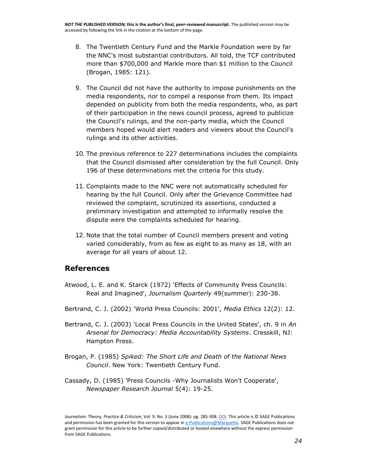- 8. The Twentieth Century Fund and the Markle Foundation were by far the NNC's most substantial contributors. All told, the TCF contributed more than \$700,000 and Markle more than \$1 million to the Council (Brogan, 1985: 121).
- 9. The Council did not have the authority to impose punishments on the media respondents, nor to compel a response from them. Its impact depended on publicity from both the media respondents, who, as part of their participation in the news council process, agreed to publicize the Council's rulings, and the non-party media, which the Council members hoped would alert readers and viewers about the Council's rulings and its other activities.
- 10. The previous reference to 227 determinations includes the complaints that the Council dismissed after consideration by the full Council. Only 196 of these determinations met the criteria for this study.
- 11. Complaints made to the NNC were not automatically scheduled for hearing by the full Council. Only after the Grievance Committee had reviewed the complaint, scrutinized its assertions, conducted a preliminary investigation and attempted to informally resolve the dispute were the complaints scheduled for hearing.
- 12. Note that the total number of Council members present and voting varied considerably, from as few as eight to as many as 18, with an average for all years of about 12.

#### **References**

- Atwood, L. E. and K. Starck (1972) 'Effects of Community Press Councils: Real and Imagined', *Journalism Quarterly* 49(summer): 230-38.
- Bertrand, C. J. (2002) 'World Press Councils: 2001', *Media Ethics* 12(2): 12.
- Bertrand, C. J. (2003) 'Local Press Councils in the United States', ch. 9 in *An Arsenal for Democracy: Media Accountability Systems*. Cresskill, NJ: Hampton Press.
- Brogan, P. (1985) *Spiked: The Short Life and Death of the National News Council*. New York: Twentieth Century Fund.
- Cassady, D. (1985) 'Press Councils -Why Journalists Won't Cooperate', *Newspaper Research Journal* 5(4): 19-25.

*Journalism: Theory, Practice & Criticism*, Vol. 9, No. 3 (June 2008): pg. 285-308[. DOI.](dx.doi.org/10.1177/1464884907089009) This article is © SAGE Publications and permission has been granted for this version to appear i[n e-Publications@Marquette.](http://epublications.marquette.edu/) SAGE Publications does not grant permission for this article to be further copied/distributed or hosted elsewhere without the express permission from SAGE Publications.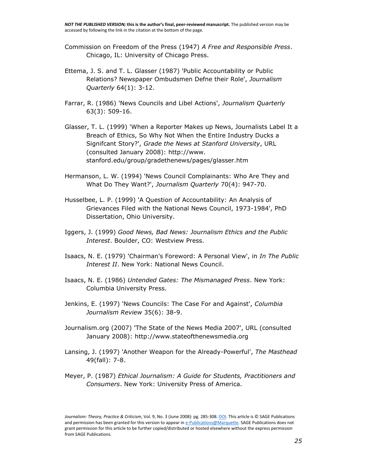- Commission on Freedom of the Press (1947) *A Free and Responsible Press*. Chicago, IL: University of Chicago Press.
- Ettema, J. S. and T. L. Glasser (1987) 'Public Accountability or Public Relations? Newspaper Ombudsmen Defne their Role', *Journalism Quarterly* 64(1): 3-12.
- Farrar, R. (1986) 'News Councils and Libel Actions', *Journalism Quarterly*  63(3): 509-16.
- Glasser, T. L. (1999) 'When a Reporter Makes up News, Journalists Label It a Breach of Ethics, So Why Not When the Entire Industry Ducks a Signifcant Story?', *Grade the News at Stanford University*, URL (consulted January 2008): [http://www.](http://www/) stanford.edu/group/gradethenews/pages/glasser.htm
- Hermanson, L. W. (1994) 'News Council Complainants: Who Are They and What Do They Want?', *Journalism Quarterly* 70(4): 947-70.
- Husselbee, L. P. (1999) 'A Question of Accountability: An Analysis of Grievances Filed with the National News Council, 1973-1984', PhD Dissertation, Ohio University.
- Iggers, J. (1999) *Good News, Bad News: Journalism Ethics and the Public Interest*. Boulder, CO: Westview Press.
- Isaacs, N. E. (1979) 'Chairman's Foreword: A Personal View', in *In The Public Interest II*. New York: National News Council.
- Isaacs, N. E. (1986) *Untended Gates: The Mismanaged Press*. New York: Columbia University Press.
- Jenkins, E. (1997) 'News Councils: The Case For and Against', *Columbia Journalism Review* 35(6): 38-9.
- Journalism.org (2007) 'The State of the News Media 2007', URL (consulted January 2008): [http://www.stateofthenewsmedia.org](http://www.stateofthenewsmedia.org/)
- Lansing, J. (1997) 'Another Weapon for the Already-Powerful', *The Masthead*  49(fall): 7-8.
- Meyer, P. (1987) *Ethical Journalism: A Guide for Students, Practitioners and Consumers*. New York: University Press of America.

*Journalism: Theory, Practice & Criticism*, Vol. 9, No. 3 (June 2008): pg. 285-308[. DOI.](dx.doi.org/10.1177/1464884907089009) This article is © SAGE Publications and permission has been granted for this version to appear i[n e-Publications@Marquette.](http://epublications.marquette.edu/) SAGE Publications does not grant permission for this article to be further copied/distributed or hosted elsewhere without the express permission from SAGE Publications.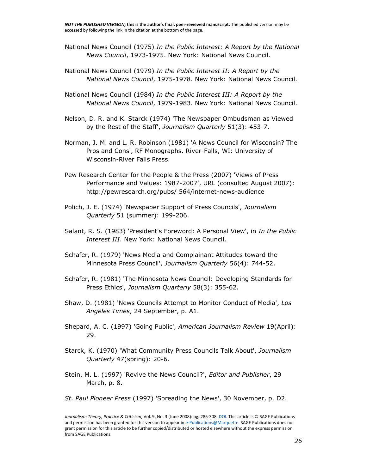- National News Council (1975) *In the Public Interest: A Report by the National News Council*, 1973-1975. New York: National News Council.
- National News Council (1979) *In the Public Interest II: A Report by the National News Council*, 1975-1978. New York: National News Council.
- National News Council (1984) *In the Public Interest III: A Report by the National News Council*, 1979-1983. New York: National News Council.
- Nelson, D. R. and K. Starck (1974) 'The Newspaper Ombudsman as Viewed by the Rest of the Staff', *Journalism Quarterly* 51(3): 453-7.
- Norman, J. M. and L. R. Robinson (1981) 'A News Council for Wisconsin? The Pros and Cons', RF Monographs. River-Falls, WI: University of Wisconsin-River Falls Press.
- Pew Research Center for the People & the Press (2007) 'Views of Press Performance and Values: 1987-2007', URL (consulted August 2007): <http://pewresearch.org/pubs/> 564/internet-news-audience
- Polich, J. E. (1974) 'Newspaper Support of Press Councils', *Journalism Quarterly* 51 (summer): 199-206.
- Salant, R. S. (1983) 'President's Foreword: A Personal View', in *In the Public Interest III*. New York: National News Council.
- Schafer, R. (1979) 'News Media and Complainant Attitudes toward the Minnesota Press Council', *Journalism Quarterly* 56(4): 744-52.
- Schafer, R. (1981) 'The Minnesota News Council: Developing Standards for Press Ethics', *Journalism Quarterly* 58(3): 355-62.
- Shaw, D. (1981) 'News Councils Attempt to Monitor Conduct of Media', *Los Angeles Times*, 24 September, p. A1.
- Shepard, A. C. (1997) 'Going Public', *American Journalism Review* 19(April): 29.
- Starck, K. (1970) 'What Community Press Councils Talk About', *Journalism Quarterly* 47(spring): 20-6.
- Stein, M. L. (1997) 'Revive the News Council?', *Editor and Publisher*, 29 March, p. 8.
- *St. Paul Pioneer Press* (1997) 'Spreading the News', 30 November, p. D2.

*Journalism: Theory, Practice & Criticism*, Vol. 9, No. 3 (June 2008): pg. 285-308[. DOI.](dx.doi.org/10.1177/1464884907089009) This article is © SAGE Publications and permission has been granted for this version to appear i[n e-Publications@Marquette.](http://epublications.marquette.edu/) SAGE Publications does not grant permission for this article to be further copied/distributed or hosted elsewhere without the express permission from SAGE Publications.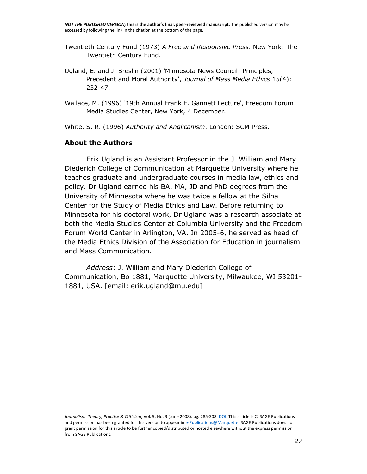- Twentieth Century Fund (1973) *A Free and Responsive Press*. New York: The Twentieth Century Fund.
- Ugland, E. and J. Breslin (2001) 'Minnesota News Council: Principles, Precedent and Moral Authority', *Journal of Mass Media Ethics* 15(4): 232-47.
- Wallace, M. (1996) '19th Annual Frank E. Gannett Lecture', Freedom Forum Media Studies Center, New York, 4 December.

White, S. R. (1996) *Authority and Anglicanism*. London: SCM Press.

#### **About the Authors**

Erik Ugland is an Assistant Professor in the J. William and Mary Diederich College of Communication at Marquette University where he teaches graduate and undergraduate courses in media law, ethics and policy. Dr Ugland earned his BA, MA, JD and PhD degrees from the University of Minnesota where he was twice a fellow at the Silha Center for the Study of Media Ethics and Law. Before returning to Minnesota for his doctoral work, Dr Ugland was a research associate at both the Media Studies Center at Columbia University and the Freedom Forum World Center in Arlington, VA. In 2005-6, he served as head of the Media Ethics Division of the Association for Education in journalism and Mass Communication.

*Address*: J. William and Mary Diederich College of Communication, Bo 1881, Marquette University, Milwaukee, WI 53201- 1881, USA. [email: [erik.ugland@mu.edu\]](mailto:erik.ugland@mu.edu)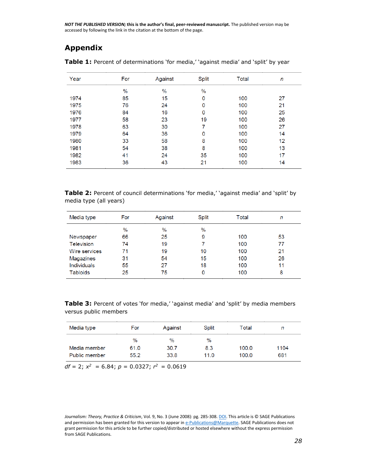#### **Appendix**

| Year | For  | Against       | <b>Split</b> | Total | n  |
|------|------|---------------|--------------|-------|----|
|      | $\%$ | $\frac{0}{0}$ | $\%$         |       |    |
| 1974 | 85   | 15            | 0            | 100   | 27 |
| 1975 | 76   | 24            | 0            | 100   | 21 |
| 1976 | 84   | 16            | 0            | 100   | 25 |
| 1977 | 58   | 23            | 19           | 100   | 26 |
| 1978 | 63   | 30            | 7            | 100   | 27 |
| 1979 | 64   | 36            | 0            | 100   | 14 |
| 1980 | 33   | 58            | 8            | 100   | 12 |
| 1981 | 54   | 38            | 8            | 100   | 13 |
| 1982 | 41   | 24            | 35           | 100   | 17 |
| 1983 | 36   | 43            | 21           | 100   | 14 |

**Table 1:** Percent of determinations 'for media,' 'against media' and 'split' by year

**Table 2:** Percent of council determinations 'for media,' 'against media' and 'split' by media type (all years)

| Media type         | For  | Against | <b>Split</b> | Total | n  |
|--------------------|------|---------|--------------|-------|----|
|                    | $\%$ | $\%$    | $\%$         |       |    |
| Newspaper          | 66   | 25      | 9            | 100   | 53 |
| <b>Television</b>  | 74   | 19      |              | 100   | 77 |
| Wire services      | 71   | 19      | 10           | 100   | 21 |
| Magazines          | 31   | 54      | 15           | 100   | 26 |
| <b>Individuals</b> | 55   | 27      | 18           | 100   | 11 |
| <b>Tabloids</b>    | 25   | 75      | 0            | 100   | 8  |

**Table 3:** Percent of votes 'for media,' 'against media' and 'split' by media members versus public members

| For  | Against | Split | Total | n    |  |
|------|---------|-------|-------|------|--|
| $\%$ | $\%$    | $\%$  |       |      |  |
| 61.0 | 30.7    | 8.3   | 100.0 | 1104 |  |
| 55.2 | 33.8    | 11.0  | 100.0 | 681  |  |
|      |         |       |       |      |  |

*df* = 2;  $x^2$  = 6.84;  $p$  = 0.0327;  $r^2$  = 0.0619